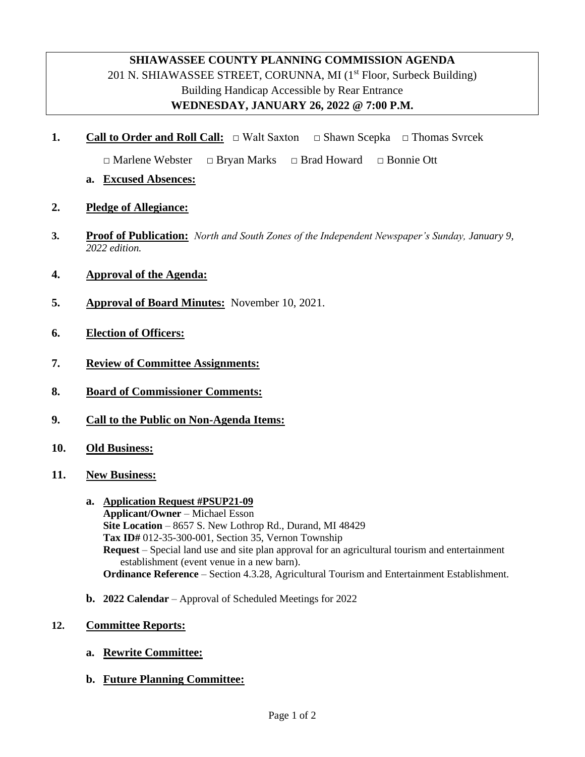## **SHIAWASSEE COUNTY PLANNING COMMISSION AGENDA** 201 N. SHIAWASSEE STREET, CORUNNA, MI  $(1<sup>st</sup>$  Floor, Surbeck Building) Building Handicap Accessible by Rear Entrance **WEDNESDAY, JANUARY 26, 2022 @ 7:00 P.M.**

**1. Call to Order and Roll Call:** □ Walt Saxton **□** Shawn Scepka **□** Thomas Svrcek

 **□** Marlene Webster **□** Bryan Marks **□** Brad Howard **□** Bonnie Ott

- **a. Excused Absences:**
- **2. Pledge of Allegiance:**
- **3. Proof of Publication:** *North and South Zones of the Independent Newspaper's Sunday, January 9, 2022 edition.*
- **4. Approval of the Agenda:**
- **5. Approval of Board Minutes:** November 10, 2021.
- **6. Election of Officers:**
- **7. Review of Committee Assignments:**
- **8. Board of Commissioner Comments:**
- **9. Call to the Public on Non-Agenda Items:**
- **10. Old Business:**
- **11. New Business:**
	- **a. Application Request #PSUP21-09 Applicant/Owner** *–* Michael Esson **Site Location** – 8657 S. New Lothrop Rd., Durand, MI 48429 **Tax ID#** 012-35-300-001, Section 35, Vernon Township **Request** – Special land use and site plan approval for an agricultural tourism and entertainment establishment (event venue in a new barn). **Ordinance Reference** – Section 4.3.28, Agricultural Tourism and Entertainment Establishment.
	- **b. 2022 Calendar** Approval of Scheduled Meetings for 2022
- **12. Committee Reports:**
	- **a. Rewrite Committee:**
	- **b. Future Planning Committee:**